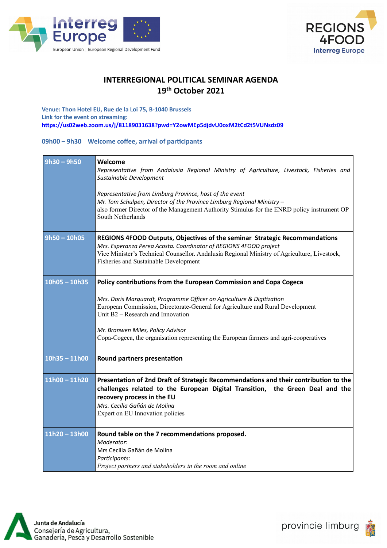



## **INTERREGIONAL POLITICAL SEMINAR AGENDA 19th October 2021**

**Venue: Thon Hotel EU, Rue de la Loi 75, B-1040 Brussels Link for the event on streaming: <https://us02web.zoom.us/j/81189031638?pwd=Y2owMEp5djdvU0oxM2tCd2t5VUNsdz09>**

## **09h00 – 9h30 Welcome coffee, arrival of participants**

| $9h30 - 9h50$   | Welcome<br>Representative from Andalusia Regional Ministry of Agriculture, Livestock, Fisheries and<br>Sustainable Development<br>Representative from Limburg Province, host of the event<br>Mr. Tom Schulpen, Director of the Province Limburg Regional Ministry -<br>also former Director of the Management Authority Stimulus for the ENRD policy instrument OP<br>South Netherlands         |
|-----------------|-------------------------------------------------------------------------------------------------------------------------------------------------------------------------------------------------------------------------------------------------------------------------------------------------------------------------------------------------------------------------------------------------|
| $9h50 - 10h05$  | REGIONS 4FOOD Outputs, Objectives of the seminar Strategic Recommendations<br>Mrs. Esperanza Perea Acosta. Coordinator of REGIONS 4FOOD project<br>Vice Minister's Technical Counsellor. Andalusia Regional Ministry of Agriculture, Livestock,<br>Fisheries and Sustainable Development                                                                                                        |
| $10h05 - 10h35$ | Policy contributions from the European Commission and Copa Cogeca<br>Mrs. Doris Marquardt, Programme Officer on Agriculture & Digitization<br>European Commission, Directorate-General for Agriculture and Rural Development<br>Unit B2 - Research and Innovation<br>Mr. Branwen Miles, Policy Advisor<br>Copa-Cogeca, the organisation representing the European farmers and agri-cooperatives |
| $10h35 - 11h00$ | Round partners presentation                                                                                                                                                                                                                                                                                                                                                                     |
| $11h00 - 11h20$ | Presentation of 2nd Draft of Strategic Recommendations and their contribution to the<br>challenges related to the European Digital Transition, the Green Deal and the<br>recovery process in the EU<br>Mrs. Cecilia Gañán de Molina<br>Expert on EU Innovation policies                                                                                                                         |
| $11h20 - 13h00$ | Round table on the 7 recommendations proposed.<br>Moderator:<br>Mrs Cecilia Gañán de Molina<br>Participants:<br>Project partners and stakeholders in the room and online                                                                                                                                                                                                                        |